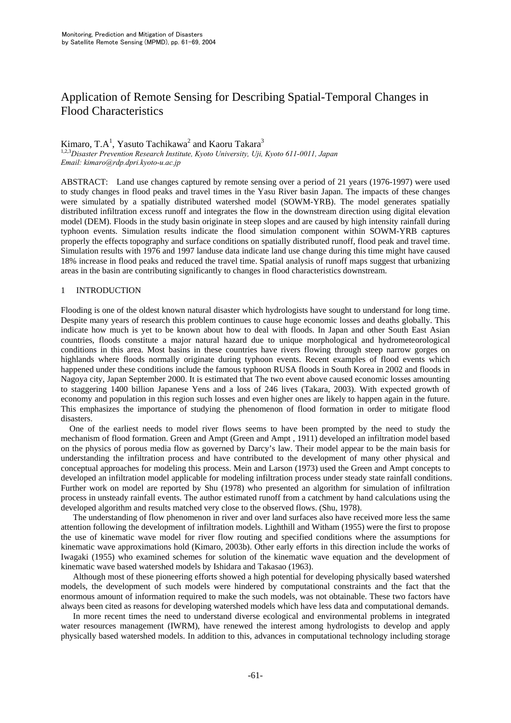# Application of Remote Sensing for Describing Spatial-Temporal Changes in Flood Characteristics

## Kimaro, T.A<sup>1</sup>, Yasuto Tachikawa<sup>2</sup> and Kaoru Takara<sup>3</sup>

1,2,3*Disaster Prevention Research Institute, Kyoto University, Uji, Kyoto 611-0011, Japan Email: kimaro@rdp.dpri.kyoto-u.ac.jp*

ABSTRACT: Land use changes captured by remote sensing over a period of 21 years (1976-1997) were used to study changes in flood peaks and travel times in the Yasu River basin Japan. The impacts of these changes were simulated by a spatially distributed watershed model (SOWM-YRB). The model generates spatially distributed infiltration excess runoff and integrates the flow in the downstream direction using digital elevation model (DEM). Floods in the study basin originate in steep slopes and are caused by high intensity rainfall during typhoon events. Simulation results indicate the flood simulation component within SOWM-YRB captures properly the effects topography and surface conditions on spatially distributed runoff, flood peak and travel time. Simulation results with 1976 and 1997 landuse data indicate land use change during this time might have caused 18% increase in flood peaks and reduced the travel time. Spatial analysis of runoff maps suggest that urbanizing areas in the basin are contributing significantly to changes in flood characteristics downstream.

## 1 INTRODUCTION

Flooding is one of the oldest known natural disaster which hydrologists have sought to understand for long time. Despite many years of research this problem continues to cause huge economic losses and deaths globally. This indicate how much is yet to be known about how to deal with floods. In Japan and other South East Asian countries, floods constitute a major natural hazard due to unique morphological and hydrometeorological conditions in this area. Most basins in these countries have rivers flowing through steep narrow gorges on highlands where floods normally originate during typhoon events. Recent examples of flood events which happened under these conditions include the famous typhoon RUSA floods in South Korea in 2002 and floods in Nagoya city, Japan September 2000. It is estimated that The two event above caused economic losses amounting to staggering 1400 billion Japanese Yens and a loss of 246 lives (Takara, 2003). With expected growth of economy and population in this region such losses and even higher ones are likely to happen again in the future. This emphasizes the importance of studying the phenomenon of flood formation in order to mitigate flood disasters.

 One of the earliest needs to model river flows seems to have been prompted by the need to study the mechanism of flood formation. Green and Ampt (Green and Ampt , 1911) developed an infiltration model based on the physics of porous media flow as governed by Darcy's law. Their model appear to be the main basis for understanding the infiltration process and have contributed to the development of many other physical and conceptual approaches for modeling this process. Mein and Larson (1973) used the Green and Ampt concepts to developed an infiltration model applicable for modeling infiltration process under steady state rainfall conditions. Further work on model are reported by Shu (1978) who presented an algorithm for simulation of infiltration process in unsteady rainfall events. The author estimated runoff from a catchment by hand calculations using the developed algorithm and results matched very close to the observed flows. (Shu, 1978).

The understanding of flow phenomenon in river and over land surfaces also have received more less the same attention following the development of infiltration models. Lighthill and Witham (1955) were the first to propose the use of kinematic wave model for river flow routing and specified conditions where the assumptions for kinematic wave approximations hold (Kimaro, 2003b). Other early efforts in this direction include the works of Iwagaki (1955) who examined schemes for solution of the kinematic wave equation and the development of kinematic wave based watershed models by Ishidara and Takasao (1963).

Although most of these pioneering efforts showed a high potential for developing physically based watershed models, the development of such models were hindered by computational constraints and the fact that the enormous amount of information required to make the such models, was not obtainable. These two factors have always been cited as reasons for developing watershed models which have less data and computational demands.

In more recent times the need to understand diverse ecological and environmental problems in integrated water resources management (IWRM), have renewed the interest among hydrologists to develop and apply physically based watershed models. In addition to this, advances in computational technology including storage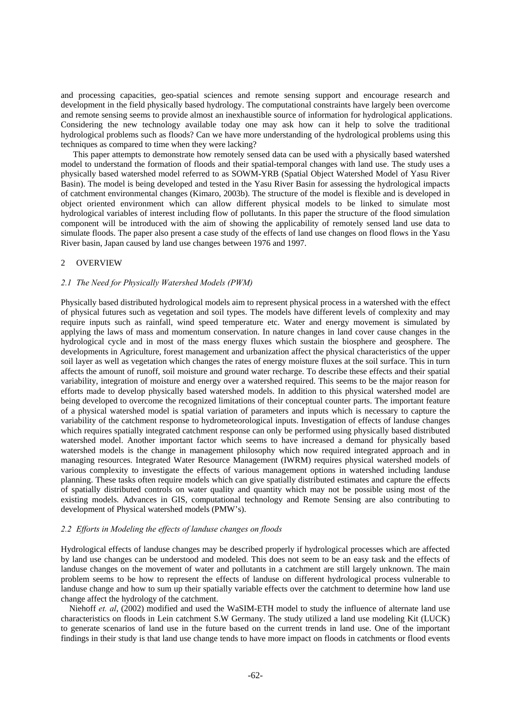and processing capacities, geo-spatial sciences and remote sensing support and encourage research and development in the field physically based hydrology. The computational constraints have largely been overcome and remote sensing seems to provide almost an inexhaustible source of information for hydrological applications. Considering the new technology available today one may ask how can it help to solve the traditional hydrological problems such as floods? Can we have more understanding of the hydrological problems using this techniques as compared to time when they were lacking?

This paper attempts to demonstrate how remotely sensed data can be used with a physically based watershed model to understand the formation of floods and their spatial-temporal changes with land use. The study uses a physically based watershed model referred to as SOWM-YRB (Spatial Object Watershed Model of Yasu River Basin). The model is being developed and tested in the Yasu River Basin for assessing the hydrological impacts of catchment environmental changes (Kimaro, 2003b). The structure of the model is flexible and is developed in object oriented environment which can allow different physical models to be linked to simulate most hydrological variables of interest including flow of pollutants. In this paper the structure of the flood simulation component will be introduced with the aim of showing the applicability of remotely sensed land use data to simulate floods. The paper also present a case study of the effects of land use changes on flood flows in the Yasu River basin, Japan caused by land use changes between 1976 and 1997.

## 2 OVERVIEW

## *2.1 The Need for Physically Watershed Models (PWM)*

Physically based distributed hydrological models aim to represent physical process in a watershed with the effect of physical futures such as vegetation and soil types. The models have different levels of complexity and may require inputs such as rainfall, wind speed temperature etc. Water and energy movement is simulated by applying the laws of mass and momentum conservation. In nature changes in land cover cause changes in the hydrological cycle and in most of the mass energy fluxes which sustain the biosphere and geosphere. The developments in Agriculture, forest management and urbanization affect the physical characteristics of the upper soil layer as well as vegetation which changes the rates of energy moisture fluxes at the soil surface. This in turn affects the amount of runoff, soil moisture and ground water recharge. To describe these effects and their spatial variability, integration of moisture and energy over a watershed required. This seems to be the major reason for efforts made to develop physically based watershed models. In addition to this physical watershed model are being developed to overcome the recognized limitations of their conceptual counter parts. The important feature of a physical watershed model is spatial variation of parameters and inputs which is necessary to capture the variability of the catchment response to hydrometeorological inputs. Investigation of effects of landuse changes which requires spatially integrated catchment response can only be performed using physically based distributed watershed model. Another important factor which seems to have increased a demand for physically based watershed models is the change in management philosophy which now required integrated approach and in managing resources. Integrated Water Resource Management (IWRM) requires physical watershed models of various complexity to investigate the effects of various management options in watershed including landuse planning. These tasks often require models which can give spatially distributed estimates and capture the effects of spatially distributed controls on water quality and quantity which may not be possible using most of the existing models. Advances in GIS, computational technology and Remote Sensing are also contributing to development of Physical watershed models (PMW's).

## *2.2 Efforts in Modeling the effects of landuse changes on floods*

Hydrological effects of landuse changes may be described properly if hydrological processes which are affected by land use changes can be understood and modeled. This does not seem to be an easy task and the effects of landuse changes on the movement of water and pollutants in a catchment are still largely unknown. The main problem seems to be how to represent the effects of landuse on different hydrological process vulnerable to landuse change and how to sum up their spatially variable effects over the catchment to determine how land use change affect the hydrology of the catchment.

Niehoff *et. al*, (2002) modified and used the WaSIM-ETH model to study the influence of alternate land use characteristics on floods in Lein catchment S.W Germany. The study utilized a land use modeling Kit (LUCK) to generate scenarios of land use in the future based on the current trends in land use. One of the important findings in their study is that land use change tends to have more impact on floods in catchments or flood events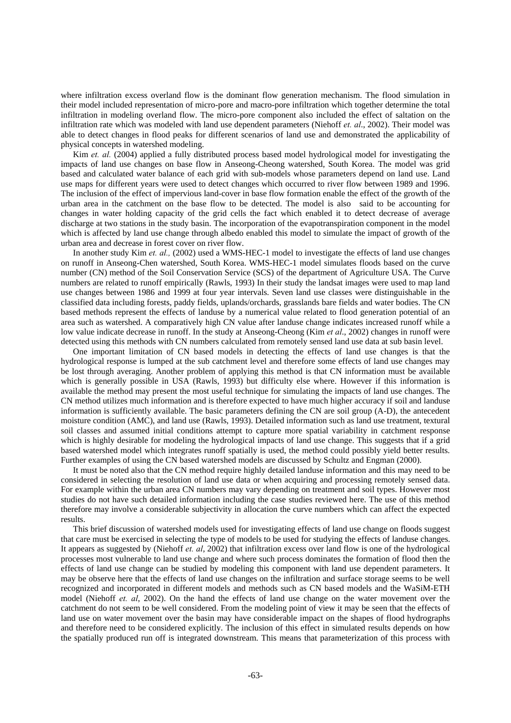where infiltration excess overland flow is the dominant flow generation mechanism. The flood simulation in their model included representation of micro-pore and macro-pore infiltration which together determine the total infiltration in modeling overland flow. The micro-pore component also included the effect of saltation on the infiltration rate which was modeled with land use dependent parameters (Niehoff *et. al*., 2002). Their model was able to detect changes in flood peaks for different scenarios of land use and demonstrated the applicability of physical concepts in watershed modeling.

Kim *et. al.* (2004) applied a fully distributed process based model hydrological model for investigating the impacts of land use changes on base flow in Anseong-Cheong watershed, South Korea. The model was grid based and calculated water balance of each grid with sub-models whose parameters depend on land use. Land use maps for different years were used to detect changes which occurred to river flow between 1989 and 1996. The inclusion of the effect of impervious land-cover in base flow formation enable the effect of the growth of the urban area in the catchment on the base flow to be detected. The model is also said to be accounting for changes in water holding capacity of the grid cells the fact which enabled it to detect decrease of average discharge at two stations in the study basin. The incorporation of the evapotranspiration component in the model which is affected by land use change through albedo enabled this model to simulate the impact of growth of the urban area and decrease in forest cover on river flow.

In another study Kim *et. al.,* (2002) used a WMS-HEC-1 model to investigate the effects of land use changes on runoff in Anseong-Chen watershed, South Korea. WMS-HEC-1 model simulates floods based on the curve number (CN) method of the Soil Conservation Service (SCS) of the department of Agriculture USA. The Curve numbers are related to runoff empirically (Rawls, 1993) In their study the landsat images were used to map land use changes between 1986 and 1999 at four year intervals. Seven land use classes were distinguishable in the classified data including forests, paddy fields, uplands/orchards, grasslands bare fields and water bodies. The CN based methods represent the effects of landuse by a numerical value related to flood generation potential of an area such as watershed. A comparatively high CN value after landuse change indicates increased runoff while a low value indicate decrease in runoff. In the study at Anseong-Cheong (Kim *et al*., 2002) changes in runoff were detected using this methods with CN numbers calculated from remotely sensed land use data at sub basin level.

One important limitation of CN based models in detecting the effects of land use changes is that the hydrological response is lumped at the sub catchment level and therefore some effects of land use changes may be lost through averaging. Another problem of applying this method is that CN information must be available which is generally possible in USA (Rawls, 1993) but difficulty else where. However if this information is available the method may present the most useful technique for simulating the impacts of land use changes. The CN method utilizes much information and is therefore expected to have much higher accuracy if soil and landuse information is sufficiently available. The basic parameters defining the CN are soil group (A-D), the antecedent moisture condition (AMC), and land use (Rawls, 1993). Detailed information such as land use treatment, textural soil classes and assumed initial conditions attempt to capture more spatial variability in catchment response which is highly desirable for modeling the hydrological impacts of land use change. This suggests that if a grid based watershed model which integrates runoff spatially is used, the method could possibly yield better results. Further examples of using the CN based watershed models are discussed by Schultz and Engman (2000).

It must be noted also that the CN method require highly detailed landuse information and this may need to be considered in selecting the resolution of land use data or when acquiring and processing remotely sensed data. For example within the urban area CN numbers may vary depending on treatment and soil types. However most studies do not have such detailed information including the case studies reviewed here. The use of this method therefore may involve a considerable subjectivity in allocation the curve numbers which can affect the expected results.

This brief discussion of watershed models used for investigating effects of land use change on floods suggest that care must be exercised in selecting the type of models to be used for studying the effects of landuse changes. It appears as suggested by (Niehoff *et. al*, 2002) that infiltration excess over land flow is one of the hydrological processes most vulnerable to land use change and where such process dominates the formation of flood then the effects of land use change can be studied by modeling this component with land use dependent parameters. It may be observe here that the effects of land use changes on the infiltration and surface storage seems to be well recognized and incorporated in different models and methods such as CN based models and the WaSiM-ETH model (Niehoff *et. al*, 2002). On the hand the effects of land use change on the water movement over the catchment do not seem to be well considered. From the modeling point of view it may be seen that the effects of land use on water movement over the basin may have considerable impact on the shapes of flood hydrographs and therefore need to be considered explicitly. The inclusion of this effect in simulated results depends on how the spatially produced run off is integrated downstream. This means that parameterization of this process with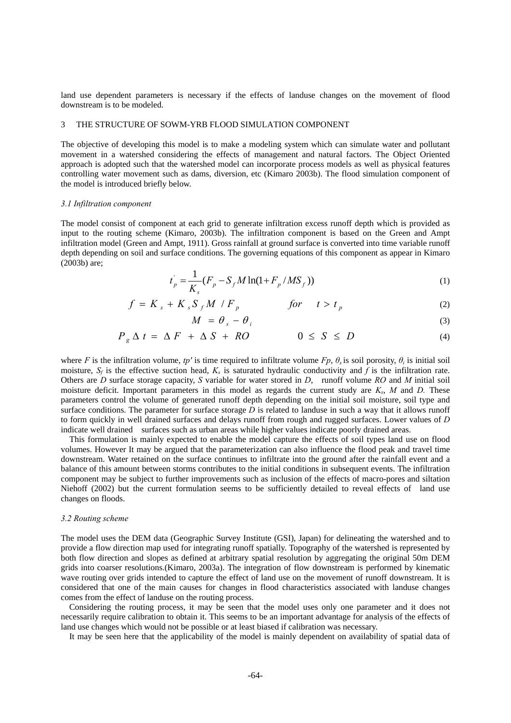land use dependent parameters is necessary if the effects of landuse changes on the movement of flood downstream is to be modeled.

#### 3 THE STRUCTURE OF SOWM-YRB FLOOD SIMULATION COMPONENT

The objective of developing this model is to make a modeling system which can simulate water and pollutant movement in a watershed considering the effects of management and natural factors. The Object Oriented approach is adopted such that the watershed model can incorporate process models as well as physical features controlling water movement such as dams, diversion, etc (Kimaro 2003b). The flood simulation component of the model is introduced briefly below.

## *3.1 Infiltration component*

The model consist of component at each grid to generate infiltration excess runoff depth which is provided as input to the routing scheme (Kimaro, 2003b). The infiltration component is based on the Green and Ampt infiltration model (Green and Ampt, 1911). Gross rainfall at ground surface is converted into time variable runoff depth depending on soil and surface conditions. The governing equations of this component as appear in Kimaro (2003b) are;

$$
t_p = \frac{1}{K_s} (F_p - S_f M \ln(1 + F_p / MS_f))
$$
\n(1)

$$
f = K_s + K_s S_f M / F_p \qquad \qquad \text{for} \qquad t > t_p \tag{2}
$$

$$
M = \theta_s - \theta_i \tag{3}
$$

$$
P_g \Delta t = \Delta F + \Delta S + RO \qquad \qquad 0 \le S \le D \tag{4}
$$

where *F* is the infiltration volume, *tp'* is time required to infiltrate volume  $Fp$ ,  $\theta_s$  is soil porosity,  $\theta_i$  is initial soil moisture,  $S_f$  is the effective suction head,  $K_s$  is saturated hydraulic conductivity and  $\hat{f}$  is the infiltration rate. Others are *D* surface storage capacity, *S* variable for water stored in *D*, runoff volume *RO* and *M* initial soil moisture deficit. Important parameters in this model as regards the current study are *Ks*, *M* and *D.* These parameters control the volume of generated runoff depth depending on the initial soil moisture, soil type and surface conditions. The parameter for surface storage *D* is related to landuse in such a way that it allows runoff to form quickly in well drained surfaces and delays runoff from rough and rugged surfaces. Lower values of *D* indicate well drained surfaces such as urban areas while higher values indicate poorly drained areas.

 This formulation is mainly expected to enable the model capture the effects of soil types land use on flood volumes. However It may be argued that the parameterization can also influence the flood peak and travel time downstream. Water retained on the surface continues to infiltrate into the ground after the rainfall event and a balance of this amount between storms contributes to the initial conditions in subsequent events. The infiltration component may be subject to further improvements such as inclusion of the effects of macro-pores and siltation Niehoff (2002) but the current formulation seems to be sufficiently detailed to reveal effects of land use changes on floods.

#### *3.2 Routing scheme*

The model uses the DEM data (Geographic Survey Institute (GSI), Japan) for delineating the watershed and to provide a flow direction map used for integrating runoff spatially. Topography of the watershed is represented by both flow direction and slopes as defined at arbitrary spatial resolution by aggregating the original 50m DEM grids into coarser resolutions.(Kimaro, 2003a). The integration of flow downstream is performed by kinematic wave routing over grids intended to capture the effect of land use on the movement of runoff downstream. It is considered that one of the main causes for changes in flood characteristics associated with landuse changes comes from the effect of landuse on the routing process.

Considering the routing process, it may be seen that the model uses only one parameter and it does not necessarily require calibration to obtain it. This seems to be an important advantage for analysis of the effects of land use changes which would not be possible or at least biased if calibration was necessary.

It may be seen here that the applicability of the model is mainly dependent on availability of spatial data of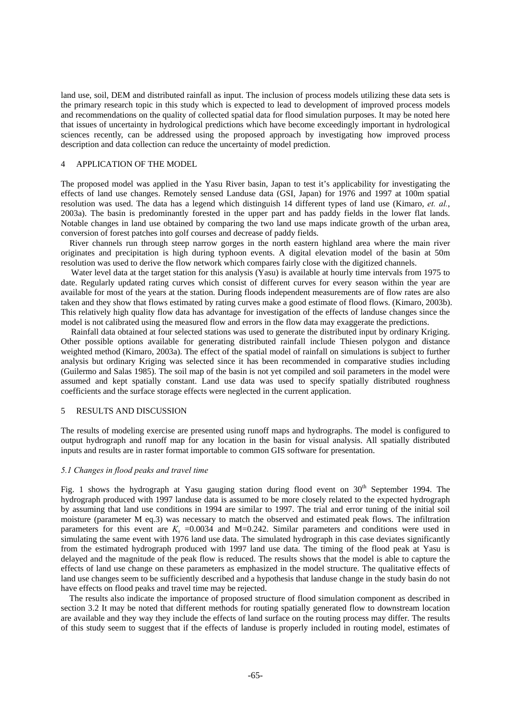land use, soil, DEM and distributed rainfall as input. The inclusion of process models utilizing these data sets is the primary research topic in this study which is expected to lead to development of improved process models and recommendations on the quality of collected spatial data for flood simulation purposes. It may be noted here that issues of uncertainty in hydrological predictions which have become exceedingly important in hydrological sciences recently, can be addressed using the proposed approach by investigating how improved process description and data collection can reduce the uncertainty of model prediction.

#### 4 APPLICATION OF THE MODEL

The proposed model was applied in the Yasu River basin, Japan to test it's applicability for investigating the effects of land use changes. Remotely sensed Landuse data (GSI, Japan) for 1976 and 1997 at 100m spatial resolution was used. The data has a legend which distinguish 14 different types of land use (Kimaro, *et. al.*, 2003a). The basin is predominantly forested in the upper part and has paddy fields in the lower flat lands. Notable changes in land use obtained by comparing the two land use maps indicate growth of the urban area, conversion of forest patches into golf courses and decrease of paddy fields.

 River channels run through steep narrow gorges in the north eastern highland area where the main river originates and precipitation is high during typhoon events. A digital elevation model of the basin at 50m resolution was used to derive the flow network which compares fairly close with the digitized channels.

Water level data at the target station for this analysis (Yasu) is available at hourly time intervals from 1975 to date. Regularly updated rating curves which consist of different curves for every season within the year are available for most of the years at the station. During floods independent measurements are of flow rates are also taken and they show that flows estimated by rating curves make a good estimate of flood flows. (Kimaro, 2003b). This relatively high quality flow data has advantage for investigation of the effects of landuse changes since the model is not calibrated using the measured flow and errors in the flow data may exaggerate the predictions.

Rainfall data obtained at four selected stations was used to generate the distributed input by ordinary Kriging. Other possible options available for generating distributed rainfall include Thiesen polygon and distance weighted method (Kimaro, 2003a). The effect of the spatial model of rainfall on simulations is subject to further analysis but ordinary Kriging was selected since it has been recommended in comparative studies including (Guilermo and Salas 1985). The soil map of the basin is not yet compiled and soil parameters in the model were assumed and kept spatially constant. Land use data was used to specify spatially distributed roughness coefficients and the surface storage effects were neglected in the current application.

## 5 RESULTS AND DISCUSSION

The results of modeling exercise are presented using runoff maps and hydrographs. The model is configured to output hydrograph and runoff map for any location in the basin for visual analysis. All spatially distributed inputs and results are in raster format importable to common GIS software for presentation.

#### *5.1 Changes in flood peaks and travel time*

Fig. 1 shows the hydrograph at Yasu gauging station during flood event on  $30<sup>th</sup>$  September 1994. The hydrograph produced with 1997 landuse data is assumed to be more closely related to the expected hydrograph by assuming that land use conditions in 1994 are similar to 1997. The trial and error tuning of the initial soil moisture (parameter M eq.3) was necessary to match the observed and estimated peak flows. The infiltration parameters for this event are  $K_s = 0.0034$  and M=0.242. Similar parameters and conditions were used in simulating the same event with 1976 land use data. The simulated hydrograph in this case deviates significantly from the estimated hydrograph produced with 1997 land use data. The timing of the flood peak at Yasu is delayed and the magnitude of the peak flow is reduced. The results shows that the model is able to capture the effects of land use change on these parameters as emphasized in the model structure. The qualitative effects of land use changes seem to be sufficiently described and a hypothesis that landuse change in the study basin do not have effects on flood peaks and travel time may be rejected.

 The results also indicate the importance of proposed structure of flood simulation component as described in section 3.2 It may be noted that different methods for routing spatially generated flow to downstream location are available and they way they include the effects of land surface on the routing process may differ. The results of this study seem to suggest that if the effects of landuse is properly included in routing model, estimates of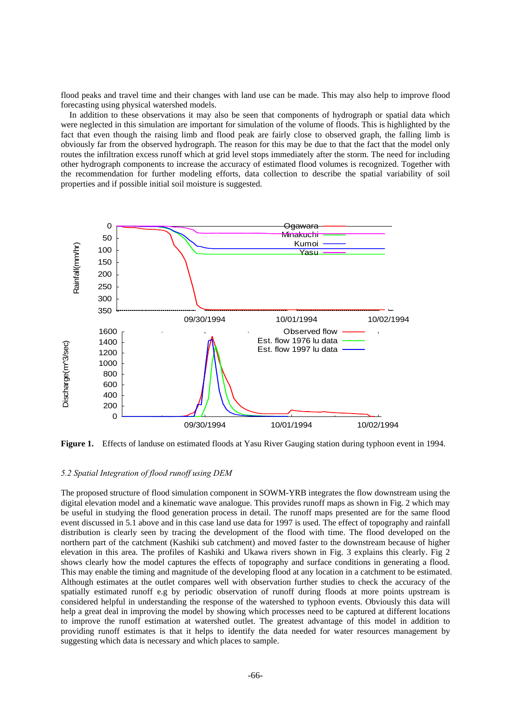flood peaks and travel time and their changes with land use can be made. This may also help to improve flood forecasting using physical watershed models.

 In addition to these observations it may also be seen that components of hydrograph or spatial data which were neglected in this simulation are important for simulation of the volume of floods. This is highlighted by the fact that even though the raising limb and flood peak are fairly close to observed graph, the falling limb is obviously far from the observed hydrograph. The reason for this may be due to that the fact that the model only routes the infiltration excess runoff which at grid level stops immediately after the storm. The need for including other hydrograph components to increase the accuracy of estimated flood volumes is recognized. Together with the recommendation for further modeling efforts, data collection to describe the spatial variability of soil properties and if possible initial soil moisture is suggested.



**Figure 1.** Effects of landuse on estimated floods at Yasu River Gauging station during typhoon event in 1994.

## *5.2 Spatial Integration of flood runoff using DEM*

The proposed structure of flood simulation component in SOWM-YRB integrates the flow downstream using the digital elevation model and a kinematic wave analogue. This provides runoff maps as shown in Fig. 2 which may be useful in studying the flood generation process in detail. The runoff maps presented are for the same flood event discussed in 5.1 above and in this case land use data for 1997 is used. The effect of topography and rainfall distribution is clearly seen by tracing the development of the flood with time. The flood developed on the northern part of the catchment (Kashiki sub catchment) and moved faster to the downstream because of higher elevation in this area. The profiles of Kashiki and Ukawa rivers shown in Fig. 3 explains this clearly. Fig 2 shows clearly how the model captures the effects of topography and surface conditions in generating a flood. This may enable the timing and magnitude of the developing flood at any location in a catchment to be estimated. Although estimates at the outlet compares well with observation further studies to check the accuracy of the spatially estimated runoff e.g by periodic observation of runoff during floods at more points upstream is considered helpful in understanding the response of the watershed to typhoon events. Obviously this data will help a great deal in improving the model by showing which processes need to be captured at different locations to improve the runoff estimation at watershed outlet. The greatest advantage of this model in addition to providing runoff estimates is that it helps to identify the data needed for water resources management by suggesting which data is necessary and which places to sample.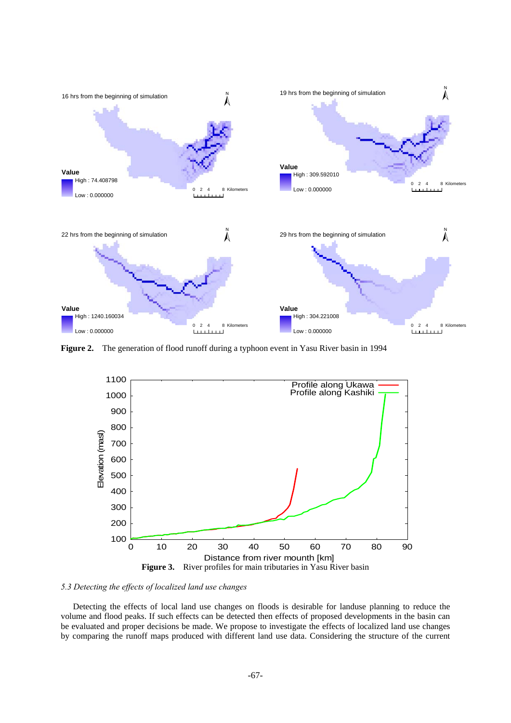

**Figure 2.** The generation of flood runoff during a typhoon event in Yasu River basin in 1994



*5.3 Detecting the effects of localized land use changes* 

Detecting the effects of local land use changes on floods is desirable for landuse planning to reduce the volume and flood peaks. If such effects can be detected then effects of proposed developments in the basin can be evaluated and proper decisions be made. We propose to investigate the effects of localized land use changes by comparing the runoff maps produced with different land use data. Considering the structure of the current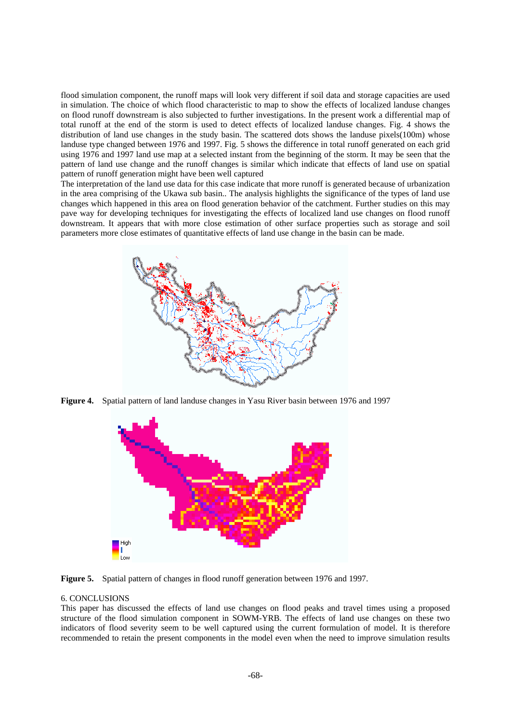flood simulation component, the runoff maps will look very different if soil data and storage capacities are used in simulation. The choice of which flood characteristic to map to show the effects of localized landuse changes on flood runoff downstream is also subjected to further investigations. In the present work a differential map of total runoff at the end of the storm is used to detect effects of localized landuse changes. Fig. 4 shows the distribution of land use changes in the study basin. The scattered dots shows the landuse pixels(100m) whose landuse type changed between 1976 and 1997. Fig. 5 shows the difference in total runoff generated on each grid using 1976 and 1997 land use map at a selected instant from the beginning of the storm. It may be seen that the pattern of land use change and the runoff changes is similar which indicate that effects of land use on spatial pattern of runoff generation might have been well captured

The interpretation of the land use data for this case indicate that more runoff is generated because of urbanization in the area comprising of the Ukawa sub basin.. The analysis highlights the significance of the types of land use changes which happened in this area on flood generation behavior of the catchment. Further studies on this may pave way for developing techniques for investigating the effects of localized land use changes on flood runoff downstream. It appears that with more close estimation of other surface properties such as storage and soil parameters more close estimates of quantitative effects of land use change in the basin can be made.



**Figure 4.** Spatial pattern of land landuse changes in Yasu River basin between 1976 and 1997



**Figure 5.** Spatial pattern of changes in flood runoff generation between 1976 and 1997.

## 6. CONCLUSIONS

This paper has discussed the effects of land use changes on flood peaks and travel times using a proposed structure of the flood simulation component in SOWM-YRB. The effects of land use changes on these two indicators of flood severity seem to be well captured using the current formulation of model. It is therefore recommended to retain the present components in the model even when the need to improve simulation results